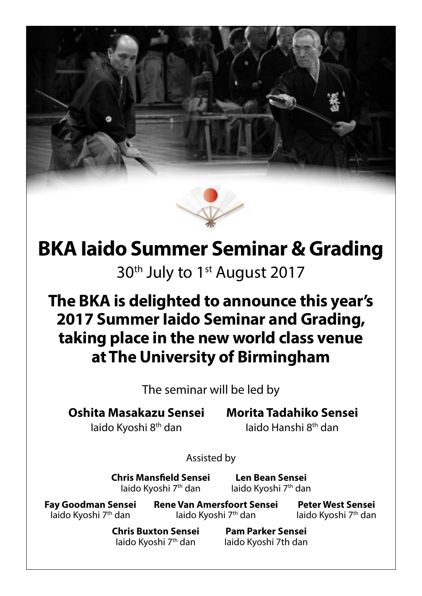

# **BKA Iaido Summer Seminar & Grading**

30<sup>th</sup> July to 1<sup>st</sup> August 2017

## **The BKA is delighted to announce this year's 2017 Summer Iaido Seminar and Grading, taking place in the new world class venue at The University of Birmingham**

The seminar will be led by

### **Oshita Masakazu Sensei**

**Morita Tadahiko Sensei**

Iaido Kyoshi 8th dan

Iaido Hanshi 8th dan

Assisted by

**Chris Mansfield Sensei** Iaido Kyoshi 7th dan

**Len Bean Sensei** Iaido Kyoshi 7th dan

**Fay Goodman Sensei Rene Van Amersfoort Sensei** laido Kyoshi 7<sup>th</sup> dan

Iaido Kyoshi 7th dan

**Peter West Sensei** Iaido Kyoshi 7th dan

**Chris Buxton Sensei** Iaido Kyoshi 7th dan

**Pam Parker Sensei**  Iaido Kyoshi 7th dan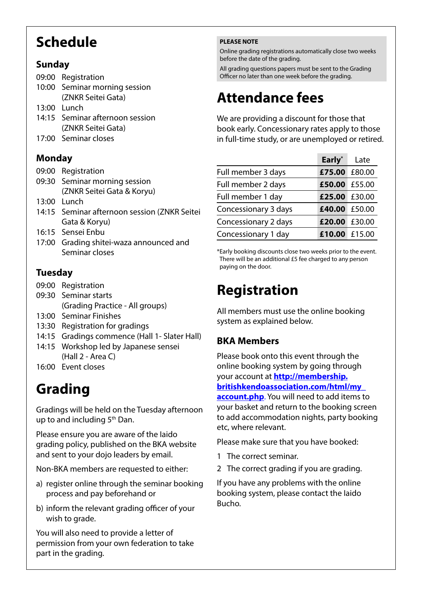## **Schedule**

### **Sunday**

|  | 09:00 Registration |  |
|--|--------------------|--|
|  |                    |  |

- 10:00 Seminar morning session (ZNKR Seitei Gata)
- 13:00 Lunch
- 14:15 Seminar afternoon session (ZNKR Seitei Gata)
- 17:00 Seminar closes

### **Monday**

- 09:00 Registration
- 09:30 Seminar morning session (ZNKR Seitei Gata & Koryu)
- 13:00 Lunch
- 14:15 Seminar afternoon session (ZNKR Seitei Gata & Koryu)
- 16:15 Sensei Enbu
- 17:00 Grading shitei-waza announced and Seminar closes

### **Tuesday**

- 09:00 Registration
- 09:30 Seminar starts
	- (Grading Practice All groups)
- 13:00 Seminar Finishes
- 13:30 Registration for gradings
- 14:15 Gradings commence (Hall 1- Slater Hall)
- 14:15 Workshop led by Japanese sensei (Hall 2 - Area C)
- 16:00 Event closes

## **Grading**

Gradings will be held on the Tuesday afternoon up to and including 5<sup>th</sup> Dan.

Please ensure you are aware of the Iaido grading policy, published on the BKA website and sent to your dojo leaders by email.

Non-BKA members are requested to either:

- a) register online through the seminar booking process and pay beforehand or
- b) inform the relevant grading officer of your wish to grade.

You will also need to provide a letter of permission from your own federation to take part in the grading.

#### **PLEASE NOTE**

Online grading registrations automatically close two weeks before the date of the grading.

All grading questions papers must be sent to the Grading Officer no later than one week before the grading.

# **Attendance fees**

We are providing a discount for those that book early. Concessionary rates apply to those in full-time study, or are unemployed or retired.

|                      | Early*        | Late   |
|----------------------|---------------|--------|
| Full member 3 days   | £75.00        | £80.00 |
| Full member 2 days   | £50.00 £55.00 |        |
| Full member 1 day    | £25.00 £30.00 |        |
| Concessionary 3 days | £40.00 £50.00 |        |
| Concessionary 2 days | £20.00        | £30.00 |
| Concessionary 1 day  | £10.00 £15.00 |        |

\*Early booking discounts close two weeks prior to the event. There will be an additional £5 fee charged to any person paying on the door.

# **Registration**

All members must use the online booking system as explained below.

### **BKA Members**

Please book onto this event through the online booking system by going through your account at **[http://membership.](http://membership.britishkendoassociation.com/html/my_account.php) [britishkendoassociation.com/html/my\\_](http://membership.britishkendoassociation.com/html/my_account.php) [account.php](http://membership.britishkendoassociation.com/html/my_account.php)**. You will need to add items to your basket and return to the booking screen to add accommodation nights, party booking etc, where relevant.

Please make sure that you have booked:

- 1 The correct seminar.
- 2 The correct grading if you are grading.

If you have any problems with the online booking system, please contact the Iaido Bucho.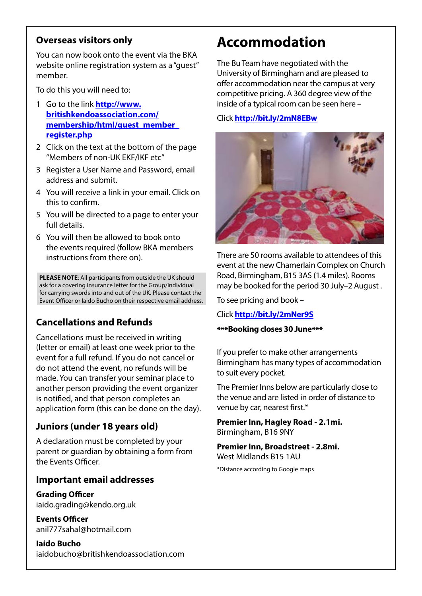#### **Overseas visitors only**

You can now book onto the event via the BKA website online registration system as a "guest" member.

To do this you will need to:

- 1 Go to the link **[http://www.](http://www.britishkendoassociation.com/membership/html/guest_member_register.php) [britishkendoassociation.com/](http://www.britishkendoassociation.com/membership/html/guest_member_register.php) [membership/html/guest\\_member\\_](http://www.britishkendoassociation.com/membership/html/guest_member_register.php) [register.php](http://www.britishkendoassociation.com/membership/html/guest_member_register.php)**
- 2 Click on the text at the bottom of the page "Members of non-UK EKF/IKF etc"
- 3 Register a User Name and Password, email address and submit.
- 4 You will receive a link in your email. Click on this to confirm.
- 5 You will be directed to a page to enter your full details.
- 6 You will then be allowed to book onto the events required (follow BKA members instructions from there on).

**PLEASE NOTE**: All participants from outside the UK should ask for a covering insurance letter for the Group/individual for carrying swords into and out of the UK. Please contact the Event Officer or Iaido Bucho on their respective email address.

### **Cancellations and Refunds**

Cancellations must be received in writing (letter or email) at least one week prior to the event for a full refund. If you do not cancel or do not attend the event, no refunds will be made. You can transfer your seminar place to another person providing the event organizer is notified, and that person completes an application form (this can be done on the day).

#### **Juniors (under 18 years old)**

A declaration must be completed by your parent or guardian by obtaining a form from the Events Officer.

#### **Important email addresses**

**Grading Officer** iaido.grading@kendo.org.uk

**Events Officer** anil777sahal@hotmail.com

**Iaido Bucho** iaidobucho@britishkendoassociation.com

## **Accommodation**

The Bu Team have negotiated with the University of Birmingham and are pleased to offer accommodation near the campus at very competitive pricing. A 360 degree view of the inside of a typical room can be seen here –

#### Click **[http://bit.ly/2mN8EBw](http://bit.ly/2mN8EBw%0D)**



There are 50 rooms available to attendees of this event at the new Chamerlain Complex on Church Road, Birmingham, B15 3AS (1.4 miles). Rooms may be booked for the period 30 July–2 August .

To see pricing and book –

#### Click **<http://bit.ly/2mNer9S>**

#### **\*\*\*Booking closes 30 June\*\*\***

If you prefer to make other arrangements Birmingham has many types of accommodation to suit every pocket.

The Premier Inns below are particularly close to the venue and are listed in order of distance to venue by car, nearest first.\*

**Premier Inn, Hagley Road - 2.1mi.** Birmingham, B16 9NY

**Premier Inn, Broadstreet - 2.8mi.** West Midlands B15 1AU

\*Distance according to Google maps